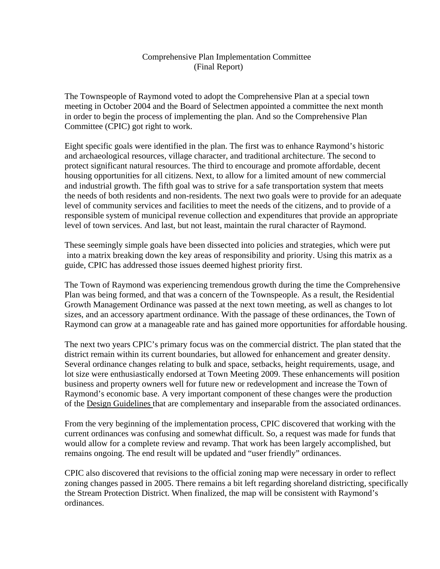### Comprehensive Plan Implementation Committee (Final Report)

The Townspeople of Raymond voted to adopt the Comprehensive Plan at a special town meeting in October 2004 and the Board of Selectmen appointed a committee the next month in order to begin the process of implementing the plan. And so the Comprehensive Plan Committee (CPIC) got right to work.

Eight specific goals were identified in the plan. The first was to enhance Raymond's historic and archaeological resources, village character, and traditional architecture. The second to protect significant natural resources. The third to encourage and promote affordable, decent housing opportunities for all citizens. Next, to allow for a limited amount of new commercial and industrial growth. The fifth goal was to strive for a safe transportation system that meets the needs of both residents and non-residents. The next two goals were to provide for an adequate level of community services and facilities to meet the needs of the citizens, and to provide of a responsible system of municipal revenue collection and expenditures that provide an appropriate level of town services. And last, but not least, maintain the rural character of Raymond.

These seemingly simple goals have been dissected into policies and strategies, which were put into a matrix breaking down the key areas of responsibility and priority. Using this matrix as a guide, CPIC has addressed those issues deemed highest priority first.

The Town of Raymond was experiencing tremendous growth during the time the Comprehensive Plan was being formed, and that was a concern of the Townspeople. As a result, the Residential Growth Management Ordinance was passed at the next town meeting, as well as changes to lot sizes, and an accessory apartment ordinance. With the passage of these ordinances, the Town of Raymond can grow at a manageable rate and has gained more opportunities for affordable housing.

The next two years CPIC's primary focus was on the commercial district. The plan stated that the district remain within its current boundaries, but allowed for enhancement and greater density. Several ordinance changes relating to bulk and space, setbacks, height requirements, usage, and lot size were enthusiastically endorsed at Town Meeting 2009. These enhancements will position business and property owners well for future new or redevelopment and increase the Town of Raymond's economic base. A very important component of these changes were the production of the Design Guidelines that are complementary and inseparable from the associated ordinances.

From the very beginning of the implementation process, CPIC discovered that working with the current ordinances was confusing and somewhat difficult. So, a request was made for funds that would allow for a complete review and revamp. That work has been largely accomplished, but remains ongoing. The end result will be updated and "user friendly" ordinances.

CPIC also discovered that revisions to the official zoning map were necessary in order to reflect zoning changes passed in 2005. There remains a bit left regarding shoreland districting, specifically the Stream Protection District. When finalized, the map will be consistent with Raymond's ordinances.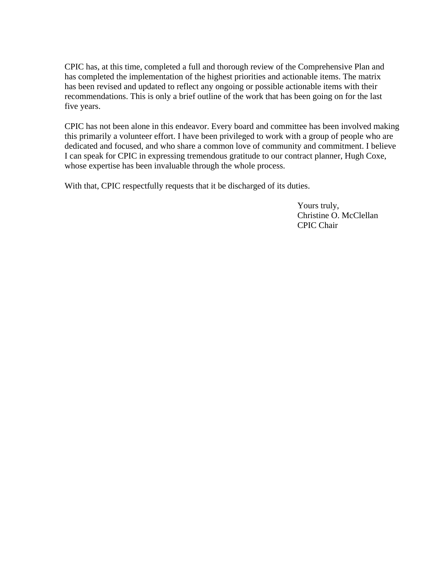CPIC has, at this time, completed a full and thorough review of the Comprehensive Plan and has completed the implementation of the highest priorities and actionable items. The matrix has been revised and updated to reflect any ongoing or possible actionable items with their recommendations. This is only a brief outline of the work that has been going on for the last five years.

CPIC has not been alone in this endeavor. Every board and committee has been involved making this primarily a volunteer effort. I have been privileged to work with a group of people who are dedicated and focused, and who share a common love of community and commitment. I believe I can speak for CPIC in expressing tremendous gratitude to our contract planner, Hugh Coxe, whose expertise has been invaluable through the whole process.

With that, CPIC respectfully requests that it be discharged of its duties.

 Yours truly, Christine O. McClellan CPIC Chair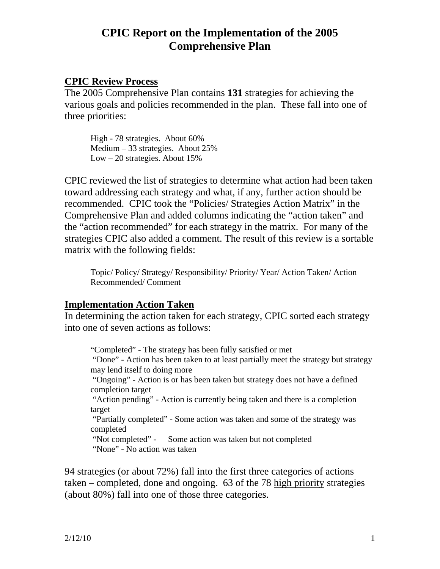## **CPIC Report on the Implementation of the 2005 Comprehensive Plan**

## **CPIC Review Process**

The 2005 Comprehensive Plan contains **131** strategies for achieving the various goals and policies recommended in the plan. These fall into one of three priorities:

High - 78 strategies. About 60% Medium – 33 strategies. About 25% Low – 20 strategies. About 15%

CPIC reviewed the list of strategies to determine what action had been taken toward addressing each strategy and what, if any, further action should be recommended. CPIC took the "Policies/ Strategies Action Matrix" in the Comprehensive Plan and added columns indicating the "action taken" and the "action recommended" for each strategy in the matrix. For many of the strategies CPIC also added a comment. The result of this review is a sortable matrix with the following fields:

Topic/ Policy/ Strategy/ Responsibility/ Priority/ Year/ Action Taken/ Action Recommended/ Comment

## **Implementation Action Taken**

In determining the action taken for each strategy, CPIC sorted each strategy into one of seven actions as follows:

"Completed" - The strategy has been fully satisfied or met

 "Done" - Action has been taken to at least partially meet the strategy but strategy may lend itself to doing more

 "Ongoing" - Action is or has been taken but strategy does not have a defined completion target

 "Action pending" - Action is currently being taken and there is a completion target

 "Partially completed" - Some action was taken and some of the strategy was completed

 "Not completed" - Some action was taken but not completed "None" - No action was taken

94 strategies (or about 72%) fall into the first three categories of actions taken – completed, done and ongoing. 63 of the 78 high priority strategies (about 80%) fall into one of those three categories.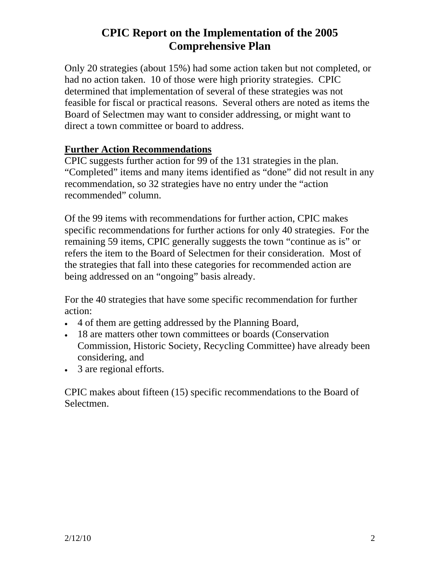# **CPIC Report on the Implementation of the 2005 Comprehensive Plan**

Only 20 strategies (about 15%) had some action taken but not completed, or had no action taken. 10 of those were high priority strategies. CPIC determined that implementation of several of these strategies was not feasible for fiscal or practical reasons. Several others are noted as items the Board of Selectmen may want to consider addressing, or might want to direct a town committee or board to address.

## **Further Action Recommendations**

CPIC suggests further action for 99 of the 131 strategies in the plan. "Completed" items and many items identified as "done" did not result in any recommendation, so 32 strategies have no entry under the "action recommended" column.

Of the 99 items with recommendations for further action, CPIC makes specific recommendations for further actions for only 40 strategies. For the remaining 59 items, CPIC generally suggests the town "continue as is" or refers the item to the Board of Selectmen for their consideration. Most of the strategies that fall into these categories for recommended action are being addressed on an "ongoing" basis already.

For the 40 strategies that have some specific recommendation for further action:

- 4 of them are getting addressed by the Planning Board,
- 18 are matters other town committees or boards (Conservation Commission, Historic Society, Recycling Committee) have already been considering, and
- 3 are regional efforts.

CPIC makes about fifteen (15) specific recommendations to the Board of Selectmen.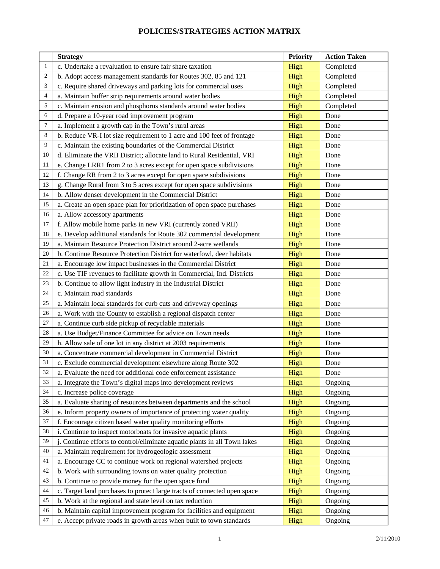|                | <b>Strategy</b>                                                           | <b>Priority</b> | <b>Action Taken</b> |
|----------------|---------------------------------------------------------------------------|-----------------|---------------------|
| 1              | c. Undertake a revaluation to ensure fair share taxation                  | High            | Completed           |
| $\overline{2}$ | b. Adopt access management standards for Routes 302, 85 and 121           | High            | Completed           |
| 3              | c. Require shared driveways and parking lots for commercial uses          | High            | Completed           |
| $\overline{4}$ | a. Maintain buffer strip requirements around water bodies                 | High            | Completed           |
| 5              | c. Maintain erosion and phosphorus standards around water bodies          | High            | Completed           |
| 6              | d. Prepare a 10-year road improvement program                             | High            | Done                |
| 7              | a. Implement a growth cap in the Town's rural areas                       | High            | Done                |
| 8              | b. Reduce VR-I lot size requirement to 1 acre and 100 feet of frontage    | High            | Done                |
| 9              | c. Maintain the existing boundaries of the Commercial District            | High            | Done                |
| 10             | d. Eliminate the VRII District; allocate land to Rural Residential, VRI   | High            | Done                |
| 11             | e. Change LRR1 from 2 to 3 acres except for open space subdivisions       | High            | Done                |
| 12             | f. Change RR from 2 to 3 acres except for open space subdivisions         | High            | Done                |
| 13             | g. Change Rural from 3 to 5 acres except for open space subdivisions      | High            | Done                |
| 14             | b. Allow denser development in the Commercial District                    | High            | Done                |
| 15             | a. Create an open space plan for prioritization of open space purchases   | High            | Done                |
| 16             | a. Allow accessory apartments                                             | High            | Done                |
| 17             | f. Allow mobile home parks in new VRI (currently zoned VRII)              | High            | Done                |
| 18             | e. Develop additional standards for Route 302 commercial development      | High            | Done                |
| 19             | a. Maintain Resource Protection District around 2-acre wetlands           | High            | Done                |
| 20             | b. Continue Resource Protection District for waterfowl, deer habitats     | High            | Done                |
| 21             | a. Encourage low impact businesses in the Commercial District             | High            | Done                |
| 22             | c. Use TIF revenues to facilitate growth in Commercial, Ind. Districts    | High            | Done                |
| 23             | b. Continue to allow light industry in the Industrial District            | High            | Done                |
| 24             | c. Maintain road standards                                                | High            | Done                |
| 25             | a. Maintain local standards for curb cuts and driveway openings           | High            | Done                |
| 26             | a. Work with the County to establish a regional dispatch center           | High            | Done                |
| 27             | a. Continue curb side pickup of recyclable materials                      | High            | Done                |
| 28             | a. Use Budget/Finance Committee for advice on Town needs                  | High            | Done                |
| 29             | h. Allow sale of one lot in any district at 2003 requirements             | High            | Done                |
| 30             | a. Concentrate commercial development in Commercial District              | High            | Done                |
| 31             | c. Exclude commercial development elsewhere along Route 302               | High            | Done                |
| 32             | a. Evaluate the need for additional code enforcement assistance           | High            | Done                |
| 33             | a. Integrate the Town's digital maps into development reviews             | High            | Ongoing             |
| 34             | c. Increase police coverage                                               | High            | Ongoing             |
| 35             | a. Evaluate sharing of resources between departments and the school       | High            | Ongoing             |
| 36             | e. Inform property owners of importance of protecting water quality       | High            | Ongoing             |
| 37             | f. Encourage citizen based water quality monitoring efforts               | High            | Ongoing             |
| 38             | i. Continue to inspect motorboats for invasive aquatic plants             | High            | Ongoing             |
| 39             | j. Continue efforts to control/eliminate aquatic plants in all Town lakes | High            | Ongoing             |
| 40             | a. Maintain requirement for hydrogeologic assessment                      | High            | Ongoing             |
| 41             | a. Encourage CC to continue work on regional watershed projects           | High            | Ongoing             |
| 42             | b. Work with surrounding towns on water quality protection                | High            | Ongoing             |
| 43             | b. Continue to provide money for the open space fund                      | High            | Ongoing             |
| 44             | c. Target land purchases to protect large tracts of connected open space  | High            | Ongoing             |
| 45             | b. Work at the regional and state level on tax reduction                  | High            | Ongoing             |
| 46             | b. Maintain capital improvement program for facilities and equipment      | High            | Ongoing             |
| 47             | e. Accept private roads in growth areas when built to town standards      | High            | Ongoing             |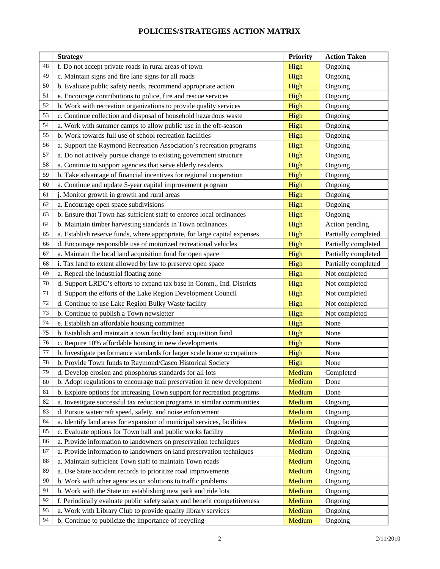|    | <b>Strategy</b>                                                           | <b>Priority</b> | <b>Action Taken</b> |
|----|---------------------------------------------------------------------------|-----------------|---------------------|
| 48 | f. Do not accept private roads in rural areas of town                     | High            | Ongoing             |
| 49 | c. Maintain signs and fire lane signs for all roads                       | High            | Ongoing             |
| 50 | b. Evaluate public safety needs, recommend appropriate action             | High            | Ongoing             |
| 51 | e. Encourage contributions to police, fire and rescue services            | High            | Ongoing             |
| 52 | b. Work with recreation organizations to provide quality services         | High            | Ongoing             |
| 53 | c. Continue collection and disposal of household hazardous waste          | High            | Ongoing             |
| 54 | a. Work with summer camps to allow public use in the off-season           | High            | Ongoing             |
| 55 | b. Work towards full use of school recreation facilities                  | High            | Ongoing             |
| 56 | a. Support the Raymond Recreation Association's recreation programs       | High            | Ongoing             |
| 57 | a. Do not actively pursue change to existing government structure         | High            | Ongoing             |
| 58 | a. Continue to support agencies that serve elderly residents              | High            | Ongoing             |
| 59 | b. Take advantage of financial incentives for regional cooperation        | High            | Ongoing             |
| 60 | a. Continue and update 5-year capital improvement program                 | High            | Ongoing             |
| 61 | j. Monitor growth in growth and rural areas                               | High            | Ongoing             |
| 62 | a. Encourage open space subdivisions                                      | High            | Ongoing             |
| 63 | b. Ensure that Town has sufficient staff to enforce local ordinances      | High            | Ongoing             |
| 64 | b. Maintain timber harvesting standards in Town ordinances                | High            | Action pending      |
| 65 | a. Establish reserve funds, where appropriate, for large capital expenses | High            | Partially completed |
| 66 | d. Encourage responsible use of motorized recreational vehicles           | High            | Partially completed |
| 67 | a. Maintain the local land acquisition fund for open space                | High            | Partially completed |
| 68 | i. Tax land to extent allowed by law to preserve open space               | High            | Partially completed |
| 69 | a. Repeal the industrial floating zone                                    | High            | Not completed       |
| 70 | d. Support LRDC's efforts to expand tax base in Comm., Ind. Districts     | High            | Not completed       |
| 71 | d. Support the efforts of the Lake Region Development Council             | High            | Not completed       |
| 72 | d. Continue to use Lake Region Bulky Waste facility                       | High            | Not completed       |
| 73 | b. Continue to publish a Town newsletter                                  | High            | Not completed       |
| 74 | e. Establish an affordable housing committee                              | High            | None                |
| 75 | b. Establish and maintain a town facility land acquisition fund           | High            | None                |
| 76 | c. Require 10% affordable housing in new developments                     | High            | None                |
| 77 | b. Investigate performance standards for larger scale home occupations    | High            | None                |
| 78 | b. Provide Town funds to Raymond/Casco Historical Society                 | High            | None                |
| 79 | d. Develop erosion and phosphorus standards for all lots                  | Medium          | Completed           |
| 80 | b. Adopt regulations to encourage trail preservation in new development   | Medium          | Done                |
| 81 | b. Explore options for increasing Town support for recreation programs    | Medium          | Done                |
| 82 | a. Investigate successful tax reduction programs in similar communities   | Medium          | Ongoing             |
| 83 | d. Pursue watercraft speed, safety, and noise enforcement                 | Medium          | Ongoing             |
| 84 | a. Identify land areas for expansion of municipal services, facilities    | Medium          | Ongoing             |
| 85 | c. Evaluate options for Town hall and public works facility               | Medium          | Ongoing             |
| 86 | a. Provide information to landowners on preservation techniques           | Medium          | Ongoing             |
| 87 | a. Provide information to landowners on land preservation techniques      | Medium          | Ongoing             |
| 88 | a. Maintain sufficient Town staff to maintain Town roads                  | Medium          | Ongoing             |
| 89 | a. Use State accident records to prioritize road improvements             | Medium          | Ongoing             |
| 90 | b. Work with other agencies on solutions to traffic problems              | Medium          | Ongoing             |
| 91 | b. Work with the State on establishing new park and ride lots             | Medium          | Ongoing             |
| 92 | f. Periodically evaluate public safety salary and benefit competitiveness | Medium          | Ongoing             |
| 93 | a. Work with Library Club to provide quality library services             | Medium          | Ongoing             |
| 94 | b. Continue to publicize the importance of recycling                      | Medium          | Ongoing             |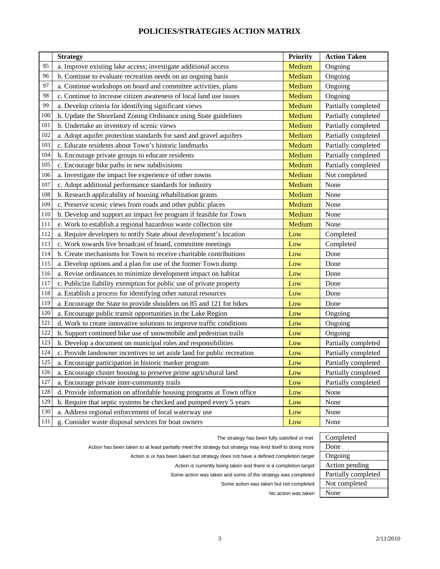|     | <b>Strategy</b>                                                         | Priority | <b>Action Taken</b> |
|-----|-------------------------------------------------------------------------|----------|---------------------|
| 95  | a. Improve existing lake access; investigate additional access          | Medium   | Ongoing             |
| 96  | b. Continue to evaluate recreation needs on an ongoing basis            | Medium   | Ongoing             |
| 97  | a. Continue workshops on board and committee activities, plans          | Medium   | Ongoing             |
| 98  | c. Continue to increase citizen awareness of local land use issues      | Medium   | Ongoing             |
| 99  | a. Develop criteria for identifying significant views                   | Medium   | Partially completed |
| 100 | h. Update the Shoreland Zoning Ordinance using State guidelines         | Medium   | Partially completed |
| 101 | b. Undertake an inventory of scenic views                               | Medium   | Partially completed |
| 102 | a. Adopt aquifer protection standards for sand and gravel aquifers      | Medium   | Partially completed |
| 103 | c. Educate residents about Town's historic landmarks                    | Medium   | Partially completed |
| 104 | b. Encourage private groups to educate residents                        | Medium   | Partially completed |
| 105 | c. Encourage bike paths in new subdivisions                             | Medium   | Partially completed |
| 106 | a. Investigate the impact fee experience of other towns                 | Medium   | Not completed       |
| 107 | c. Adopt additional performance standards for industry                  | Medium   | None                |
| 108 | b. Research applicability of housing rehabilitation grants              | Medium   | None                |
| 109 | c. Preserve scenic views from roads and other public places             | Medium   | None                |
| 110 | b. Develop and support an impact fee program if feasible for Town       | Medium   | None                |
| 111 | e. Work to establish a regional hazardous waste collection site         | Medium   | None                |
| 112 | a. Require developers to notify State about development's location      | Low      | Completed           |
| 113 | c. Work towards live broadcast of board, committee meetings             | Low      | Completed           |
| 114 | b. Create mechanisms for Town to receive charitable contributions       | Low      | Done                |
| 115 | a. Develop options and a plan for use of the former Town dump           | Low      | Done                |
| 116 | a. Revise ordinances to minimize development impact on habitat          | Low      | Done                |
| 117 | c. Publicize liability exemption for public use of private property     | Low      | Done                |
| 118 | a. Establish a process for identifying other natural resources          | Low      | Done                |
| 119 | a. Encourage the State to provide shoulders on 85 and 121 for bikes     | Low      | Done                |
| 120 | a. Encourage public transit opportunities in the Lake Region            | Low      | Ongoing             |
| 121 | d. Work to create innovative solutions to improve traffic conditions    | Low      | Ongoing             |
| 122 | b. Support continued bike use of snowmobile and pedestrian trails       | Low      | Ongoing             |
| 123 | b. Develop a document on municipal roles and responsibilities           | Low      | Partially completed |
| 124 | c. Provide landowner incentives to set aside land for public recreation | Low      | Partially completed |
| 125 | a. Encourage participation in historic marker program                   | Low      | Partially completed |
| 126 | a. Encourage cluster housing to preserve prime agricultural land        | Low      | Partially completed |
| 127 | a. Encourage private inter-community trails                             | Low      | Partially completed |
| 128 | d. Provide information on affordable housing programs at Town office    | Low      | None                |
| 129 | b. Require that septic systems be checked and pumped every 5 years      | Low      | None                |
| 130 | a. Address regional enforcement of local waterway use                   | Low      | None                |
| 131 | g. Consider waste disposal services for boat owners                     | Low      | None                |

The strategy has been fully satisfied or met Completed

Action has been taken to at least partially meet the strategy but strategy may lend itself to doing more **Done** 

Action is or has been taken but strategy does not have a defined completion target | Ongoing

Action is currently being taken and there is a completion target | Action pending

Some action was taken and some of the strategy was completed Partially completed

Some action was taken but not completed Not completed

No action was taken None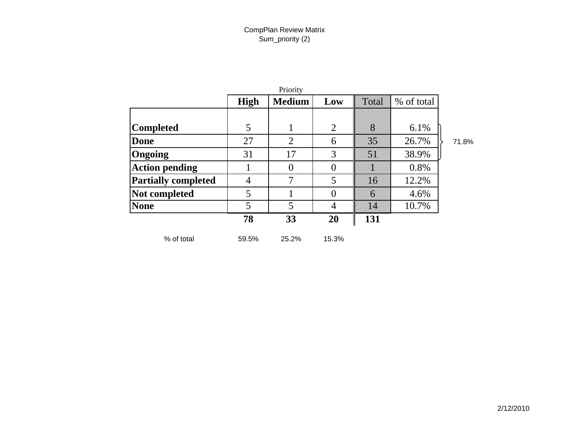|                            |             | Priority       |                |       |            |       |
|----------------------------|-------------|----------------|----------------|-------|------------|-------|
|                            | <b>High</b> | <b>Medium</b>  | Low            | Total | % of total |       |
|                            |             |                |                |       |            |       |
| <b>Completed</b>           | 5           |                | $\overline{2}$ | 8     | 6.1%       |       |
| Done                       | 27          | $\overline{2}$ | 6              | 35    | 26.7%      | 71.8% |
| Ongoing                    | 31          | 17             | 3              | 51    | 38.9%      |       |
| <b>Action pending</b>      |             | $\theta$       | $\theta$       |       | 0.8%       |       |
| <b>Partially completed</b> | 4           | 7              | 5              | 16    | 12.2%      |       |
| Not completed              | 5           |                | $\theta$       | 6     | 4.6%       |       |
| <b>None</b>                | 5           | 5              | $\overline{4}$ | 14    | 10.7%      |       |
|                            | 78          | 33             | 20             | 131   |            |       |
| % of total                 | 59.5%       | 25.2%          | 15.3%          |       |            |       |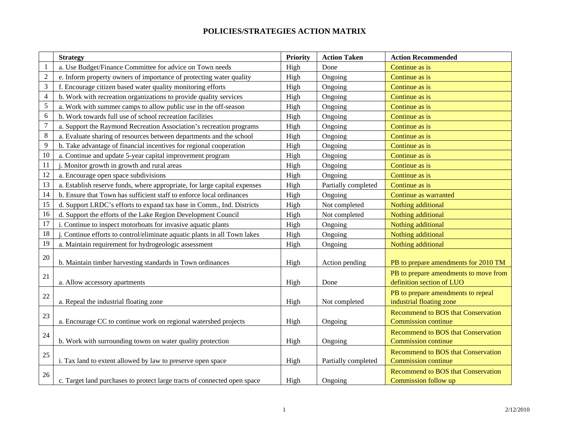|                | <b>Strategy</b>                                                           | Priority | <b>Action Taken</b> | <b>Action Recommended</b>                                               |
|----------------|---------------------------------------------------------------------------|----------|---------------------|-------------------------------------------------------------------------|
| $\mathbf{1}$   | a. Use Budget/Finance Committee for advice on Town needs                  | High     | Done                | Continue as is                                                          |
| $\sqrt{2}$     | e. Inform property owners of importance of protecting water quality       | High     | Ongoing             | Continue as is                                                          |
| $\mathfrak{Z}$ | f. Encourage citizen based water quality monitoring efforts               | High     | Ongoing             | Continue as is                                                          |
| $\overline{4}$ | b. Work with recreation organizations to provide quality services         | High     | Ongoing             | Continue as is                                                          |
| 5              | a. Work with summer camps to allow public use in the off-season           | High     | Ongoing             | Continue as is                                                          |
| 6              | b. Work towards full use of school recreation facilities                  | High     | Ongoing             | Continue as is                                                          |
| $\overline{7}$ | a. Support the Raymond Recreation Association's recreation programs       | High     | Ongoing             | Continue as is                                                          |
| 8              | a. Evaluate sharing of resources between departments and the school       | High     | Ongoing             | Continue as is                                                          |
| 9              | b. Take advantage of financial incentives for regional cooperation        | High     | Ongoing             | Continue as is                                                          |
| 10             | a. Continue and update 5-year capital improvement program                 | High     | Ongoing             | Continue as is                                                          |
| 11             | j. Monitor growth in growth and rural areas                               | High     | Ongoing             | Continue as is                                                          |
| 12             | a. Encourage open space subdivisions                                      | High     | Ongoing             | Continue as is                                                          |
| 13             | a. Establish reserve funds, where appropriate, for large capital expenses | High     | Partially completed | Continue as is                                                          |
| 14             | b. Ensure that Town has sufficient staff to enforce local ordinances      | High     | Ongoing             | Continue as warranted                                                   |
| 15             | d. Support LRDC's efforts to expand tax base in Comm., Ind. Districts     | High     | Not completed       | Nothing additional                                                      |
| 16             | d. Support the efforts of the Lake Region Development Council             | High     | Not completed       | Nothing additional                                                      |
| 17             | i. Continue to inspect motorboats for invasive aquatic plants             | High     | Ongoing             | Nothing additional                                                      |
| 18             | j. Continue efforts to control/eliminate aquatic plants in all Town lakes | High     | Ongoing             | Nothing additional                                                      |
| 19             | a. Maintain requirement for hydrogeologic assessment                      | High     | Ongoing             | Nothing additional                                                      |
| 20             | b. Maintain timber harvesting standards in Town ordinances                | High     | Action pending      | PB to prepare amendments for 2010 TM                                    |
| 21             | a. Allow accessory apartments                                             | High     | Done                | PB to prepare amendments to move from<br>definition section of LUO      |
| 22             | a. Repeal the industrial floating zone                                    | High     | Not completed       | PB to prepare amendments to repeal<br>industrial floating zone          |
| 23             | a. Encourage CC to continue work on regional watershed projects           | High     | Ongoing             | <b>Recommend to BOS that Conservation</b><br><b>Commission continue</b> |
| 24             | b. Work with surrounding towns on water quality protection                | High     | Ongoing             | <b>Recommend to BOS that Conservation</b><br><b>Commission continue</b> |
| 25             | i. Tax land to extent allowed by law to preserve open space               | High     | Partially completed | <b>Recommend to BOS that Conservation</b><br><b>Commission continue</b> |
| 26             | c. Target land purchases to protect large tracts of connected open space  | High     | Ongoing             | <b>Recommend to BOS that Conservation</b><br>Commission follow up       |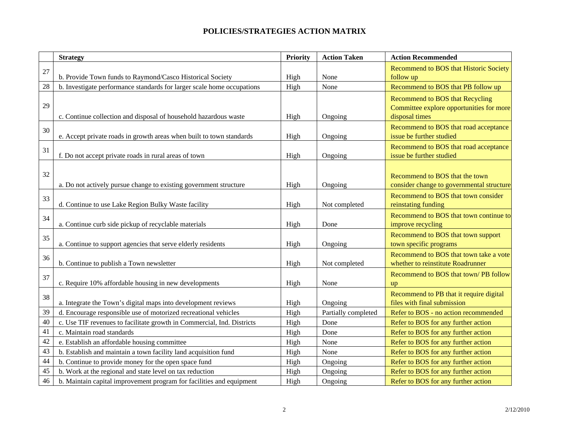|    | <b>Strategy</b>                                                        | Priority | <b>Action Taken</b> | <b>Action Recommended</b>                                                                            |
|----|------------------------------------------------------------------------|----------|---------------------|------------------------------------------------------------------------------------------------------|
| 27 |                                                                        |          |                     | <b>Recommend to BOS that Historic Society</b>                                                        |
|    | b. Provide Town funds to Raymond/Casco Historical Society              | High     | None                | follow up                                                                                            |
| 28 | b. Investigate performance standards for larger scale home occupations | High     | None                | Recommend to BOS that PB follow up                                                                   |
| 29 | c. Continue collection and disposal of household hazardous waste       | High     | Ongoing             | <b>Recommend to BOS that Recycling</b><br>Committee explore opportunities for more<br>disposal times |
| 30 | e. Accept private roads in growth areas when built to town standards   | High     | Ongoing             | Recommend to BOS that road acceptance<br>issue be further studied                                    |
| 31 | f. Do not accept private roads in rural areas of town                  | High     | Ongoing             | Recommend to BOS that road acceptance<br>issue be further studied                                    |
| 32 | a. Do not actively pursue change to existing government structure      | High     | Ongoing             | Recommend to BOS that the town<br>consider change to governmental structure                          |
| 33 | d. Continue to use Lake Region Bulky Waste facility                    | High     | Not completed       | Recommend to BOS that town consider<br>reinstating funding                                           |
| 34 | a. Continue curb side pickup of recyclable materials                   | High     | Done                | Recommend to BOS that town continue to<br>improve recycling                                          |
| 35 | a. Continue to support agencies that serve elderly residents           | High     | Ongoing             | Recommend to BOS that town support<br>town specific programs                                         |
| 36 | b. Continue to publish a Town newsletter                               | High     | Not completed       | Recommend to BOS that town take a vote<br>whether to reinstitute Roadrunner                          |
| 37 | c. Require 10% affordable housing in new developments                  | High     | None                | Recommend to BOS that town/PB follow<br>up                                                           |
| 38 | a. Integrate the Town's digital maps into development reviews          | High     | Ongoing             | Recommend to PB that it require digital<br>files with final submission                               |
| 39 | d. Encourage responsible use of motorized recreational vehicles        | High     | Partially completed | Refer to BOS - no action recommended                                                                 |
| 40 | c. Use TIF revenues to facilitate growth in Commercial, Ind. Districts | High     | Done                | Refer to BOS for any further action                                                                  |
| 41 | c. Maintain road standards                                             | High     | Done                | Refer to BOS for any further action                                                                  |
| 42 | e. Establish an affordable housing committee                           | High     | None                | Refer to BOS for any further action                                                                  |
| 43 | b. Establish and maintain a town facility land acquisition fund        | High     | None                | Refer to BOS for any further action                                                                  |
| 44 | b. Continue to provide money for the open space fund                   | High     | Ongoing             | Refer to BOS for any further action                                                                  |
| 45 | b. Work at the regional and state level on tax reduction               | High     | Ongoing             | Refer to BOS for any further action                                                                  |
| 46 | b. Maintain capital improvement program for facilities and equipment   | High     | Ongoing             | Refer to BOS for any further action                                                                  |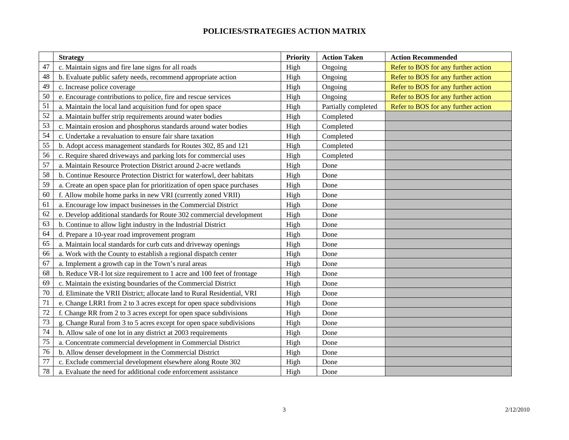|    | <b>Strategy</b>                                                         | Priority | <b>Action Taken</b> | <b>Action Recommended</b>           |
|----|-------------------------------------------------------------------------|----------|---------------------|-------------------------------------|
| 47 | c. Maintain signs and fire lane signs for all roads                     | High     | Ongoing             | Refer to BOS for any further action |
| 48 | b. Evaluate public safety needs, recommend appropriate action           | High     | Ongoing             | Refer to BOS for any further action |
| 49 | c. Increase police coverage                                             | High     | Ongoing             | Refer to BOS for any further action |
| 50 | e. Encourage contributions to police, fire and rescue services          | High     | Ongoing             | Refer to BOS for any further action |
| 51 | a. Maintain the local land acquisition fund for open space              | High     | Partially completed | Refer to BOS for any further action |
| 52 | a. Maintain buffer strip requirements around water bodies               | High     | Completed           |                                     |
| 53 | c. Maintain erosion and phosphorus standards around water bodies        | High     | Completed           |                                     |
| 54 | c. Undertake a revaluation to ensure fair share taxation                | High     | Completed           |                                     |
| 55 | b. Adopt access management standards for Routes 302, 85 and 121         | High     | Completed           |                                     |
| 56 | c. Require shared driveways and parking lots for commercial uses        | High     | Completed           |                                     |
| 57 | a. Maintain Resource Protection District around 2-acre wetlands         | High     | Done                |                                     |
| 58 | b. Continue Resource Protection District for waterfowl, deer habitats   | High     | Done                |                                     |
| 59 | a. Create an open space plan for prioritization of open space purchases | High     | Done                |                                     |
| 60 | f. Allow mobile home parks in new VRI (currently zoned VRII)            | High     | Done                |                                     |
| 61 | a. Encourage low impact businesses in the Commercial District           | High     | Done                |                                     |
| 62 | e. Develop additional standards for Route 302 commercial development    | High     | Done                |                                     |
| 63 | b. Continue to allow light industry in the Industrial District          | High     | Done                |                                     |
| 64 | d. Prepare a 10-year road improvement program                           | High     | Done                |                                     |
| 65 | a. Maintain local standards for curb cuts and driveway openings         | High     | Done                |                                     |
| 66 | a. Work with the County to establish a regional dispatch center         | High     | Done                |                                     |
| 67 | a. Implement a growth cap in the Town's rural areas                     | High     | Done                |                                     |
| 68 | b. Reduce VR-I lot size requirement to 1 acre and 100 feet of frontage  | High     | Done                |                                     |
| 69 | c. Maintain the existing boundaries of the Commercial District          | High     | Done                |                                     |
| 70 | d. Eliminate the VRII District; allocate land to Rural Residential, VRI | High     | Done                |                                     |
| 71 | e. Change LRR1 from 2 to 3 acres except for open space subdivisions     | High     | Done                |                                     |
| 72 | f. Change RR from 2 to 3 acres except for open space subdivisions       | High     | Done                |                                     |
| 73 | g. Change Rural from 3 to 5 acres except for open space subdivisions    | High     | Done                |                                     |
| 74 | h. Allow sale of one lot in any district at 2003 requirements           | High     | Done                |                                     |
| 75 | a. Concentrate commercial development in Commercial District            | High     | Done                |                                     |
| 76 | b. Allow denser development in the Commercial District                  | High     | Done                |                                     |
| 77 | c. Exclude commercial development elsewhere along Route 302             | High     | Done                |                                     |
| 78 | a. Evaluate the need for additional code enforcement assistance         | High     | Done                |                                     |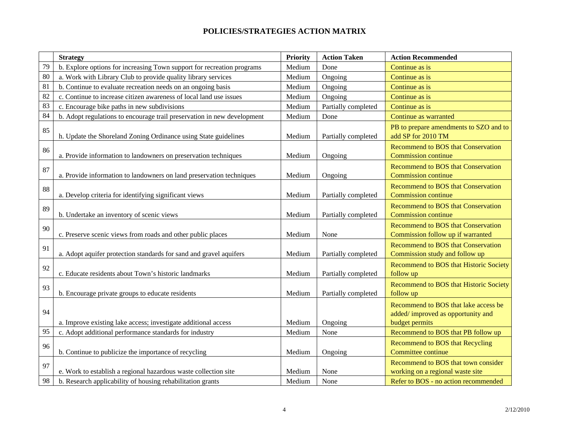|    | <b>Strategy</b>                                                         | Priority | <b>Action Taken</b> | <b>Action Recommended</b>                                                                   |
|----|-------------------------------------------------------------------------|----------|---------------------|---------------------------------------------------------------------------------------------|
| 79 | b. Explore options for increasing Town support for recreation programs  | Medium   | Done                | Continue as is                                                                              |
| 80 | a. Work with Library Club to provide quality library services           | Medium   | Ongoing             | Continue as is                                                                              |
| 81 | b. Continue to evaluate recreation needs on an ongoing basis            | Medium   | Ongoing             | Continue as is                                                                              |
| 82 | c. Continue to increase citizen awareness of local land use issues      | Medium   | Ongoing             | Continue as is                                                                              |
| 83 | c. Encourage bike paths in new subdivisions                             | Medium   | Partially completed | Continue as is                                                                              |
| 84 | b. Adopt regulations to encourage trail preservation in new development | Medium   | Done                | Continue as warranted                                                                       |
| 85 | h. Update the Shoreland Zoning Ordinance using State guidelines         | Medium   | Partially completed | PB to prepare amendments to SZO and to<br>add SP for 2010 TM                                |
| 86 | a. Provide information to landowners on preservation techniques         | Medium   | Ongoing             | <b>Recommend to BOS that Conservation</b><br><b>Commission continue</b>                     |
| 87 | a. Provide information to landowners on land preservation techniques    | Medium   | Ongoing             | <b>Recommend to BOS that Conservation</b><br><b>Commission continue</b>                     |
| 88 | a. Develop criteria for identifying significant views                   | Medium   | Partially completed | <b>Recommend to BOS that Conservation</b><br><b>Commission continue</b>                     |
| 89 | b. Undertake an inventory of scenic views                               | Medium   | Partially completed | <b>Recommend to BOS that Conservation</b><br>Commission continue                            |
| 90 | c. Preserve scenic views from roads and other public places             | Medium   | None                | <b>Recommend to BOS that Conservation</b><br>Commission follow up if warranted              |
| 91 | a. Adopt aquifer protection standards for sand and gravel aquifers      | Medium   | Partially completed | <b>Recommend to BOS that Conservation</b><br>Commission study and follow up                 |
| 92 | c. Educate residents about Town's historic landmarks                    | Medium   | Partially completed | Recommend to BOS that Historic Society<br>follow up                                         |
| 93 | b. Encourage private groups to educate residents                        | Medium   | Partially completed | Recommend to BOS that Historic Society<br>follow up                                         |
| 94 | a. Improve existing lake access; investigate additional access          | Medium   | Ongoing             | Recommend to BOS that lake access be<br>added/improved as opportunity and<br>budget permits |
| 95 | c. Adopt additional performance standards for industry                  | Medium   | None                | Recommend to BOS that PB follow up                                                          |
| 96 | b. Continue to publicize the importance of recycling                    | Medium   | Ongoing             | Recommend to BOS that Recycling<br>Committee continue                                       |
| 97 | e. Work to establish a regional hazardous waste collection site         | Medium   | None                | Recommend to BOS that town consider<br>working on a regional waste site                     |
| 98 | b. Research applicability of housing rehabilitation grants              | Medium   | None                | Refer to BOS - no action recommended                                                        |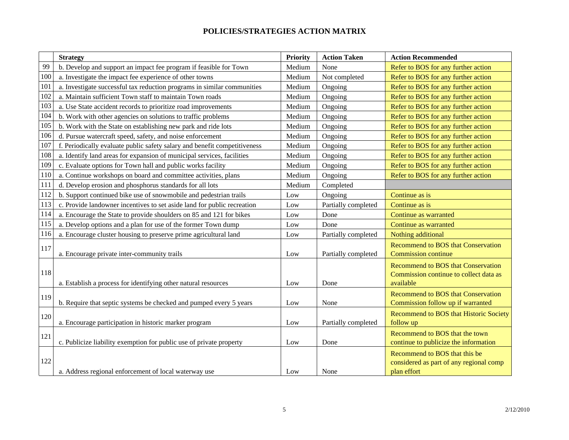|     | <b>Strategy</b>                                                           | Priority | <b>Action Taken</b> | <b>Action Recommended</b>                                                                        |
|-----|---------------------------------------------------------------------------|----------|---------------------|--------------------------------------------------------------------------------------------------|
| 99  | b. Develop and support an impact fee program if feasible for Town         | Medium   | None                | Refer to BOS for any further action                                                              |
| 100 | a. Investigate the impact fee experience of other towns                   | Medium   | Not completed       | Refer to BOS for any further action                                                              |
| 101 | a. Investigate successful tax reduction programs in similar communities   | Medium   | Ongoing             | Refer to BOS for any further action                                                              |
| 102 | a. Maintain sufficient Town staff to maintain Town roads                  | Medium   | Ongoing             | Refer to BOS for any further action                                                              |
| 103 | a. Use State accident records to prioritize road improvements             | Medium   | Ongoing             | Refer to BOS for any further action                                                              |
| 104 | b. Work with other agencies on solutions to traffic problems              | Medium   | Ongoing             | Refer to BOS for any further action                                                              |
| 105 | b. Work with the State on establishing new park and ride lots             | Medium   | Ongoing             | Refer to BOS for any further action                                                              |
| 106 | d. Pursue watercraft speed, safety, and noise enforcement                 | Medium   | Ongoing             | Refer to BOS for any further action                                                              |
| 107 | f. Periodically evaluate public safety salary and benefit competitiveness | Medium   | Ongoing             | Refer to BOS for any further action                                                              |
| 108 | a. Identify land areas for expansion of municipal services, facilities    | Medium   | Ongoing             | Refer to BOS for any further action                                                              |
| 109 | c. Evaluate options for Town hall and public works facility               | Medium   | Ongoing             | Refer to BOS for any further action                                                              |
| 110 | a. Continue workshops on board and committee activities, plans            | Medium   | Ongoing             | Refer to BOS for any further action                                                              |
| 111 | d. Develop erosion and phosphorus standards for all lots                  | Medium   | Completed           |                                                                                                  |
| 112 | b. Support continued bike use of snowmobile and pedestrian trails         | Low      | Ongoing             | Continue as is                                                                                   |
| 113 | c. Provide landowner incentives to set aside land for public recreation   | Low      | Partially completed | Continue as is                                                                                   |
| 114 | a. Encourage the State to provide shoulders on 85 and 121 for bikes       | Low      | Done                | Continue as warranted                                                                            |
| 115 | a. Develop options and a plan for use of the former Town dump             | Low      | Done                | Continue as warranted                                                                            |
| 116 | a. Encourage cluster housing to preserve prime agricultural land          | Low      | Partially completed | Nothing additional                                                                               |
| 117 | a. Encourage private inter-community trails                               | Low      | Partially completed | <b>Recommend to BOS that Conservation</b><br><b>Commission continue</b>                          |
| 118 | a. Establish a process for identifying other natural resources            | Low      | Done                | <b>Recommend to BOS that Conservation</b><br>Commission continue to collect data as<br>available |
| 119 | b. Require that septic systems be checked and pumped every 5 years        | Low      | None                | <b>Recommend to BOS that Conservation</b><br>Commission follow up if warranted                   |
| 120 | a. Encourage participation in historic marker program                     | Low      | Partially completed | Recommend to BOS that Historic Society<br>follow up                                              |
| 121 | c. Publicize liability exemption for public use of private property       | Low      | Done                | Recommend to BOS that the town<br>continue to publicize the information                          |
| 122 | a. Address regional enforcement of local waterway use                     | Low      | None                | Recommend to BOS that this be<br>considered as part of any regional comp<br>plan effort          |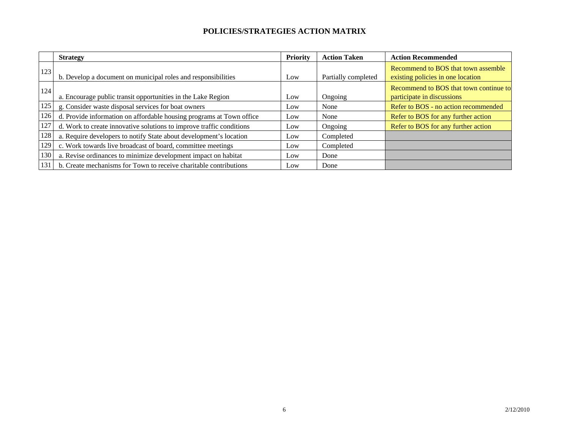|     | <b>Strategy</b>                                                      | Priority | <b>Action Taken</b> | <b>Action Recommended</b>                                                |
|-----|----------------------------------------------------------------------|----------|---------------------|--------------------------------------------------------------------------|
| 123 | b. Develop a document on municipal roles and responsibilities        | Low      | Partially completed | Recommend to BOS that town assemble<br>existing policies in one location |
| 124 | a. Encourage public transit opportunities in the Lake Region         | Low      | Ongoing             | Recommend to BOS that town continue to<br>participate in discussions     |
| 125 | g. Consider waste disposal services for boat owners                  | Low      | None                | Refer to BOS - no action recommended                                     |
| 126 | d. Provide information on affordable housing programs at Town office | Low      | None                | Refer to BOS for any further action                                      |
| 127 | d. Work to create innovative solutions to improve traffic conditions | Low      | Ongoing             | Refer to BOS for any further action                                      |
| 128 | a. Require developers to notify State about development's location   | Low      | Completed           |                                                                          |
| 129 | c. Work towards live broadcast of board, committee meetings          | Low      | Completed           |                                                                          |
| 130 | a. Revise ordinances to minimize development impact on habitat       | Low      | Done                |                                                                          |
| 131 | b. Create mechanisms for Town to receive charitable contributions    | Low      | Done                |                                                                          |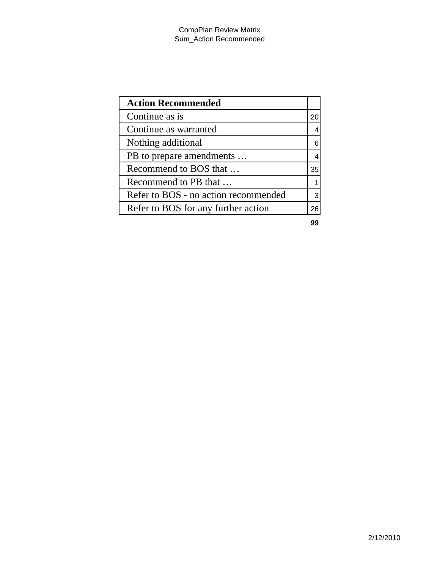| <b>Action Recommended</b>            |    |
|--------------------------------------|----|
| Continue as is                       | 20 |
| Continue as warranted                |    |
| Nothing additional                   |    |
| PB to prepare amendments             |    |
| Recommend to BOS that                | 35 |
| Recommend to PB that                 |    |
| Refer to BOS - no action recommended |    |
| Refer to BOS for any further action  | 26 |

**99**